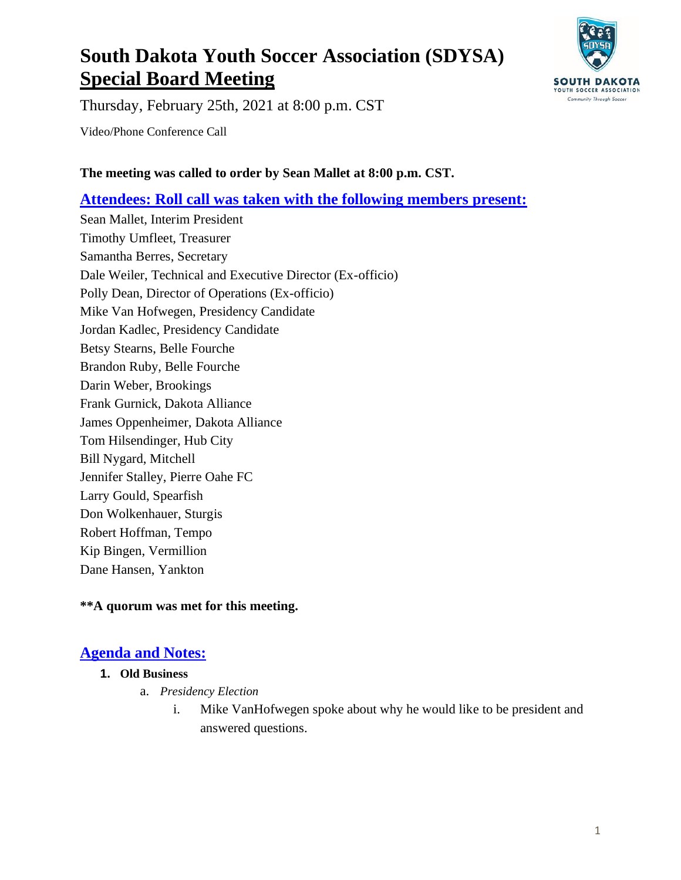# **South Dakota Youth Soccer Association (SDYSA) Special Board Meeting**



Thursday, February 25th, 2021 at 8:00 p.m. CST

Video/Phone Conference Call

#### **The meeting was called to order by Sean Mallet at 8:00 p.m. CST.**

### **Attendees: Roll call was taken with the following members present:**

Sean Mallet, Interim President Timothy Umfleet, Treasurer Samantha Berres, Secretary Dale Weiler, Technical and Executive Director (Ex-officio) Polly Dean, Director of Operations (Ex-officio) Mike Van Hofwegen, Presidency Candidate Jordan Kadlec, Presidency Candidate Betsy Stearns, Belle Fourche Brandon Ruby, Belle Fourche Darin Weber, Brookings Frank Gurnick, Dakota Alliance James Oppenheimer, Dakota Alliance Tom Hilsendinger, Hub City Bill Nygard, Mitchell Jennifer Stalley, Pierre Oahe FC Larry Gould, Spearfish Don Wolkenhauer, Sturgis Robert Hoffman, Tempo Kip Bingen, Vermillion Dane Hansen, Yankton

#### **\*\*A quorum was met for this meeting.**

## **Agenda and Notes:**

#### **1. Old Business**

- a. *Presidency Election*
	- i. Mike VanHofwegen spoke about why he would like to be president and answered questions.